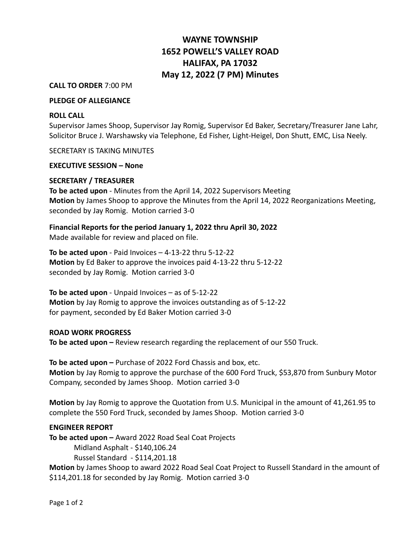# **WAYNE TOWNSHIP 1652 POWELL'S VALLEY ROAD HALIFAX, PA 17032 May 12, 2022 (7 PM) Minutes**

#### **CALL TO ORDER** 7:00 PM

## **PLEDGE OF ALLEGIANCE**

#### **ROLL CALL**

Supervisor James Shoop, Supervisor Jay Romig, Supervisor Ed Baker, Secretary/Treasurer Jane Lahr, Solicitor Bruce J. Warshawsky via Telephone, Ed Fisher, Light-Heigel, Don Shutt, EMC, Lisa Neely.

SECRETARY IS TAKING MINUTES

#### **EXECUTIVE SESSION – None**

## **SECRETARY / TREASURER**

**To be acted upon** - Minutes from the April 14, 2022 Supervisors Meeting **Motion** by James Shoop to approve the Minutes from the April 14, 2022 Reorganizations Meeting, seconded by Jay Romig. Motion carried 3-0

**Financial Reports for the period January 1, 2022 thru April 30, 2022**

Made available for review and placed on file.

**To be acted upon** - Paid Invoices – 4-13-22 thru 5-12-22 **Motion** by Ed Baker to approve the invoices paid 4-13-22 thru 5-12-22 seconded by Jay Romig. Motion carried 3-0

**To be acted upon** - Unpaid Invoices – as of 5-12-22 **Motion** by Jay Romig to approve the invoices outstanding as of 5-12-22 for payment, seconded by Ed Baker Motion carried 3-0

## **ROAD WORK PROGRESS**

**To be acted upon –** Review research regarding the replacement of our 550 Truck.

**To be acted upon –** Purchase of 2022 Ford Chassis and box, etc. **Motion** by Jay Romig to approve the purchase of the 600 Ford Truck, \$53,870 from Sunbury Motor Company, seconded by James Shoop. Motion carried 3-0

**Motion** by Jay Romig to approve the Quotation from U.S. Municipal in the amount of 41,261.95 to complete the 550 Ford Truck, seconded by James Shoop. Motion carried 3-0

## **ENGINEER REPORT**

**To be acted upon –** Award 2022 Road Seal Coat Projects

Midland Asphalt - \$140,106.24

Russel Standard - \$114,201.18

**Motion** by James Shoop to award 2022 Road Seal Coat Project to Russell Standard in the amount of \$114,201.18 for seconded by Jay Romig. Motion carried 3-0